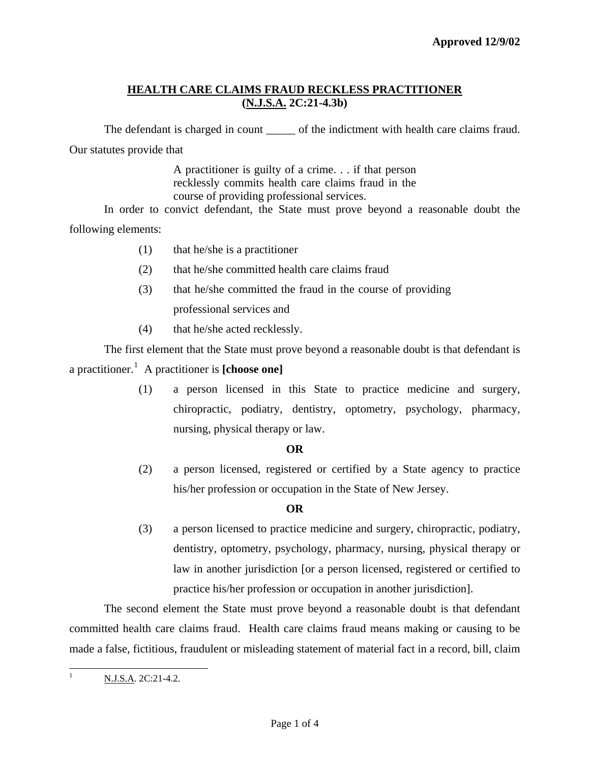## **HEALTH CARE CLAIMS FRAUD RECKLESS PRACTITIONER (N.J.S.A. 2C:21-4.3b)**

The defendant is charged in count of the indictment with health care claims fraud. Our statutes provide that

> A practitioner is guilty of a crime. . . if that person recklessly commits health care claims fraud in the course of providing professional services.

 In order to convict defendant, the State must prove beyond a reasonable doubt the following elements:

- (1) that he/she is a practitioner
- (2) that he/she committed health care claims fraud
- (3) that he/she committed the fraud in the course of providing professional services and
- (4) that he/she acted recklessly.

 The first element that the State must prove beyond a reasonable doubt is that defendant is a practitioner.[1](#page-0-0) A practitioner is **[choose one]**

> (1) a person licensed in this State to practice medicine and surgery, chiropractic, podiatry, dentistry, optometry, psychology, pharmacy, nursing, physical therapy or law.

#### **OR**

(2) a person licensed, registered or certified by a State agency to practice his/her profession or occupation in the State of New Jersey.

## **OR**

(3) a person licensed to practice medicine and surgery, chiropractic, podiatry, dentistry, optometry, psychology, pharmacy, nursing, physical therapy or law in another jurisdiction [or a person licensed, registered or certified to practice his/her profession or occupation in another jurisdiction].

<span id="page-0-1"></span> The second element the State must prove beyond a reasonable doubt is that defendant committed health care claims fraud. Health care claims fraud means making or causing to be made a false, fictitious, fraudulent or misleading statement of material fact in a record, bill, claim

<span id="page-0-0"></span> $\frac{1}{1}$ N.J.S.A. 2C:21-4.2.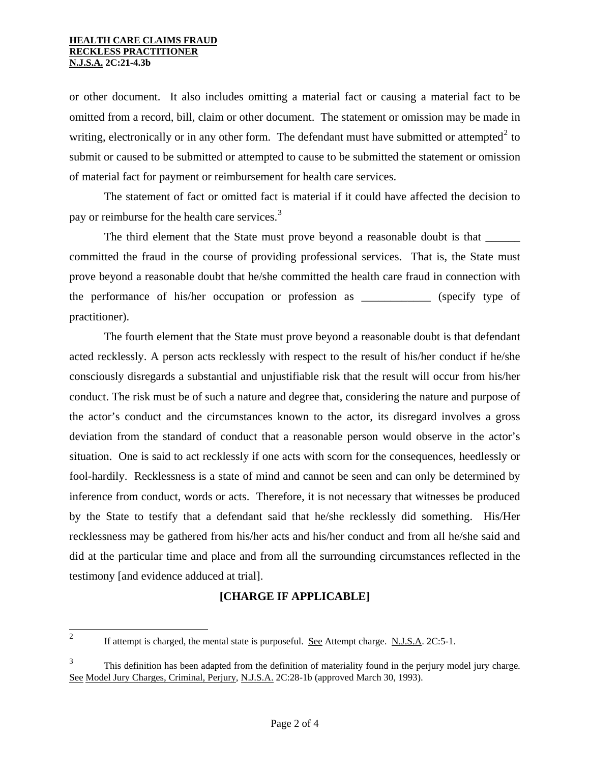or other document. It also includes omitting a material fact or causing a material fact to be omitted from a record, bill, claim or other document. The statement or omission may be made in writing, electronically or in any other form. The defendant must have submitted or attempted<sup>[2](#page-0-1)</sup> to submit or caused to be submitted or attempted to cause to be submitted the statement or omission of material fact for payment or reimbursement for health care services.

 The statement of fact or omitted fact is material if it could have affected the decision to pay or reimburse for the health care services.<sup>[3](#page-1-0)</sup>

The third element that the State must prove beyond a reasonable doubt is that \_\_\_\_\_\_ committed the fraud in the course of providing professional services. That is, the State must prove beyond a reasonable doubt that he/she committed the health care fraud in connection with the performance of his/her occupation or profession as \_\_\_\_\_\_\_\_\_\_\_\_ (specify type of practitioner).

 The fourth element that the State must prove beyond a reasonable doubt is that defendant acted recklessly. A person acts recklessly with respect to the result of his/her conduct if he/she consciously disregards a substantial and unjustifiable risk that the result will occur from his/her conduct. The risk must be of such a nature and degree that, considering the nature and purpose of the actor's conduct and the circumstances known to the actor, its disregard involves a gross deviation from the standard of conduct that a reasonable person would observe in the actor's situation. One is said to act recklessly if one acts with scorn for the consequences, heedlessly or fool-hardily. Recklessness is a state of mind and cannot be seen and can only be determined by inference from conduct, words or acts. Therefore, it is not necessary that witnesses be produced by the State to testify that a defendant said that he/she recklessly did something. His/Her recklessness may be gathered from his/her acts and his/her conduct and from all he/she said and did at the particular time and place and from all the surrounding circumstances reflected in the testimony [and evidence adduced at trial].

## **[CHARGE IF APPLICABLE]**

<span id="page-1-1"></span> $\frac{1}{2}$ 

If attempt is charged, the mental state is purposeful. See Attempt charge. N.J.S.A. 2C:5-1.

<span id="page-1-0"></span><sup>&</sup>lt;sup>3</sup> This definition has been adapted from the definition of materiality found in the perjury model jury charge. See Model Jury Charges, Criminal, Perjury, N.J.S.A. 2C:28-1b (approved March 30, 1993).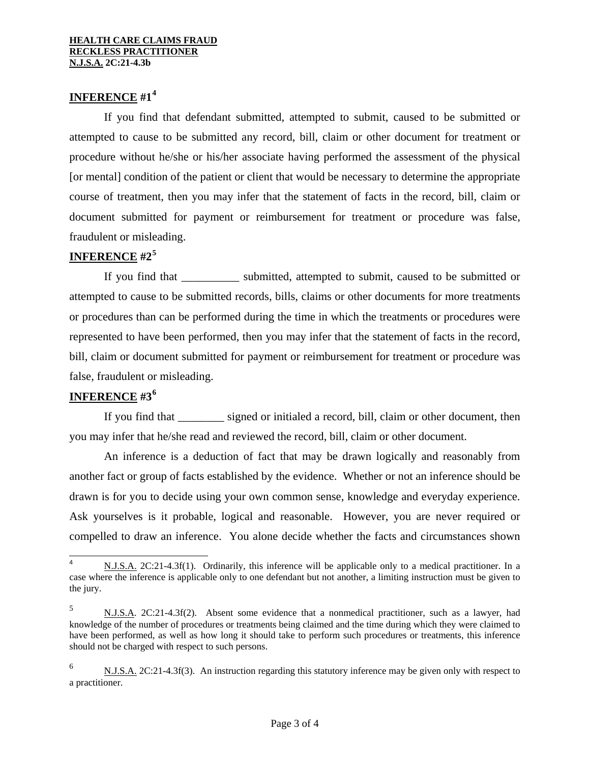# **INFERENCE #1[4](#page-1-1)**

 If you find that defendant submitted, attempted to submit, caused to be submitted or attempted to cause to be submitted any record, bill, claim or other document for treatment or procedure without he/she or his/her associate having performed the assessment of the physical [or mental] condition of the patient or client that would be necessary to determine the appropriate course of treatment, then you may infer that the statement of facts in the record, bill, claim or document submitted for payment or reimbursement for treatment or procedure was false, fraudulent or misleading.

#### **INFERENCE #2[5](#page-2-0)**

If you find that submitted, attempted to submit, caused to be submitted or attempted to cause to be submitted records, bills, claims or other documents for more treatments or procedures than can be performed during the time in which the treatments or procedures were represented to have been performed, then you may infer that the statement of facts in the record, bill, claim or document submitted for payment or reimbursement for treatment or procedure was false, fraudulent or misleading.

# **INFERENCE #3[6](#page-2-1)**

If you find that signed or initialed a record, bill, claim or other document, then you may infer that he/she read and reviewed the record, bill, claim or other document.

 An inference is a deduction of fact that may be drawn logically and reasonably from another fact or group of facts established by the evidence. Whether or not an inference should be drawn is for you to decide using your own common sense, knowledge and everyday experience. Ask yourselves is it probable, logical and reasonable. However, you are never required or compelled to draw an inference. You alone decide whether the facts and circumstances shown

 $\frac{1}{4}$  N.J.S.A. 2C:21-4.3f(1). Ordinarily, this inference will be applicable only to a medical practitioner. In a case where the inference is applicable only to one defendant but not another, a limiting instruction must be given to the jury.

<span id="page-2-0"></span><sup>5</sup> N.J.S.A. 2C:21-4.3f(2). Absent some evidence that a nonmedical practitioner, such as a lawyer, had knowledge of the number of procedures or treatments being claimed and the time during which they were claimed to have been performed, as well as how long it should take to perform such procedures or treatments, this inference should not be charged with respect to such persons.

<span id="page-2-1"></span><sup>6</sup> N.J.S.A. 2C:21-4.3f(3). An instruction regarding this statutory inference may be given only with respect to a practitioner.